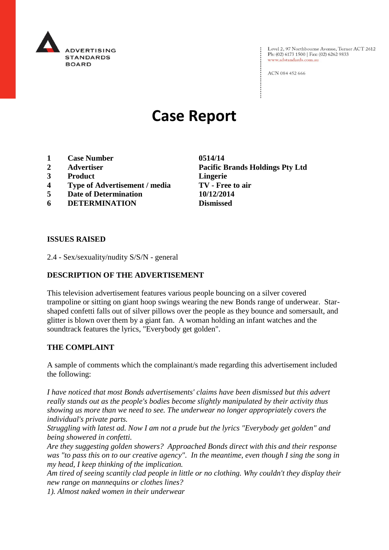

Level 2, 97 Northbourne Avenue, Turner ACT 2612 Ph: (02) 6173 1500 | Fax: (02) 6262 9833 www.adstandards.com.au

ACN 084 452 666

# **Case Report**

- **1 Case Number 0514/14**
- 
- **3 Product Lingerie**
- **4 Type of Advertisement / media TV - Free to air**
- **5 Date of Determination 10/12/2014**
- **6 DETERMINATION Dismissed**

**2 Advertiser Pacific Brands Holdings Pty Ltd**

#### **ISSUES RAISED**

2.4 - Sex/sexuality/nudity S/S/N - general

# **DESCRIPTION OF THE ADVERTISEMENT**

This television advertisement features various people bouncing on a silver covered trampoline or sitting on giant hoop swings wearing the new Bonds range of underwear. Starshaped confetti falls out of silver pillows over the people as they bounce and somersault, and glitter is blown over them by a giant fan. A woman holding an infant watches and the soundtrack features the lyrics, "Everybody get golden".

### **THE COMPLAINT**

A sample of comments which the complainant/s made regarding this advertisement included the following:

*I have noticed that most Bonds advertisements' claims have been dismissed but this advert really stands out as the people's bodies become slightly manipulated by their activity thus showing us more than we need to see. The underwear no longer appropriately covers the individual's private parts.*

*Struggling with latest ad. Now I am not a prude but the lyrics "Everybody get golden" and being showered in confetti.*

*Are they suggesting golden showers? Approached Bonds direct with this and their response was "to pass this on to our creative agency". In the meantime, even though I sing the song in my head, I keep thinking of the implication.*

*Am tired of seeing scantily clad people in little or no clothing. Why couldn't they display their new range on mannequins or clothes lines?*

*1). Almost naked women in their underwear*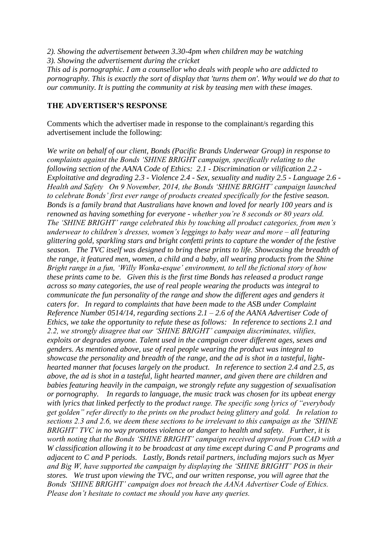- *2). Showing the advertisement between 3.30-4pm when children may be watching*
- *3). Showing the advertisement during the cricket*

*This ad is pornographic. I am a counsellor who deals with people who are addicted to pornography. This is exactly the sort of display that 'turns them on'. Why would we do that to our community. It is putting the community at risk by teasing men with these images.*

## **THE ADVERTISER'S RESPONSE**

Comments which the advertiser made in response to the complainant/s regarding this advertisement include the following:

*We write on behalf of our client, Bonds (Pacific Brands Underwear Group) in response to complaints against the Bonds 'SHINE BRIGHT campaign, specifically relating to the following section of the AANA Code of Ethics: 2.1 - Discrimination or vilification 2.2 - Exploitative and degrading 2.3 - Violence 2.4 - Sex, sexuality and nudity 2.5 - Language 2.6 - Health and Safety On 9 November, 2014, the Bonds 'SHINE BRIGHT' campaign launched to celebrate Bonds' first ever range of products created specifically for the festive season. Bonds is a family brand that Australians have known and loved for nearly 100 years and is renowned as having something for everyone - whether you're 8 seconds or 80 years old. The 'SHINE BRIGHT' range celebrated this by touching all product categories, from men's underwear to children's dresses, women's leggings to baby wear and more – all featuring glittering gold, sparkling stars and bright confetti prints to capture the wonder of the festive season. The TVC itself was designed to bring these prints to life. Showcasing the breadth of the range, it featured men, women, a child and a baby, all wearing products from the Shine Bright range in a fun, 'Willy Wonka-esque' environment, to tell the fictional story of how these prints came to be. Given this is the first time Bonds has released a product range across so many categories, the use of real people wearing the products was integral to communicate the fun personality of the range and show the different ages and genders it caters for. In regard to complaints that have been made to the ASB under Complaint Reference Number 0514/14, regarding sections 2.1 – 2.6 of the AANA Advertiser Code of Ethics, we take the opportunity to refute these as follows: In reference to sections 2.1 and 2.2, we strongly disagree that our 'SHINE BRIGHT' campaign discriminates, vilifies, exploits or degrades anyone. Talent used in the campaign cover different ages, sexes and genders. As mentioned above, use of real people wearing the product was integral to showcase the personality and breadth of the range, and the ad is shot in a tasteful, lighthearted manner that focuses largely on the product. In reference to section 2.4 and 2.5, as above, the ad is shot in a tasteful, light hearted manner, and given there are children and babies featuring heavily in the campaign, we strongly refute any suggestion of sexualisation or pornography. In regards to language, the music track was chosen for its upbeat energy with lyrics that linked perfectly to the product range. The specific song lyrics of "everybody get golden" refer directly to the prints on the product being glittery and gold. In relation to sections 2.3 and 2.6, we deem these sections to be irrelevant to this campaign as the 'SHINE BRIGHT' TVC in no way promotes violence or danger to health and safety. Further, it is worth noting that the Bonds 'SHINE BRIGHT' campaign received approval from CAD with a W classification allowing it to be broadcast at any time except during C and P programs and adjacent to C and P periods. Lastly, Bonds retail partners, including majors such as Myer and Big W, have supported the campaign by displaying the 'SHINE BRIGHT' POS in their stores. We trust upon viewing the TVC, and our written response, you will agree that the Bonds 'SHINE BRIGHT' campaign does not breach the AANA Advertiser Code of Ethics. Please don't hesitate to contact me should you have any queries.*